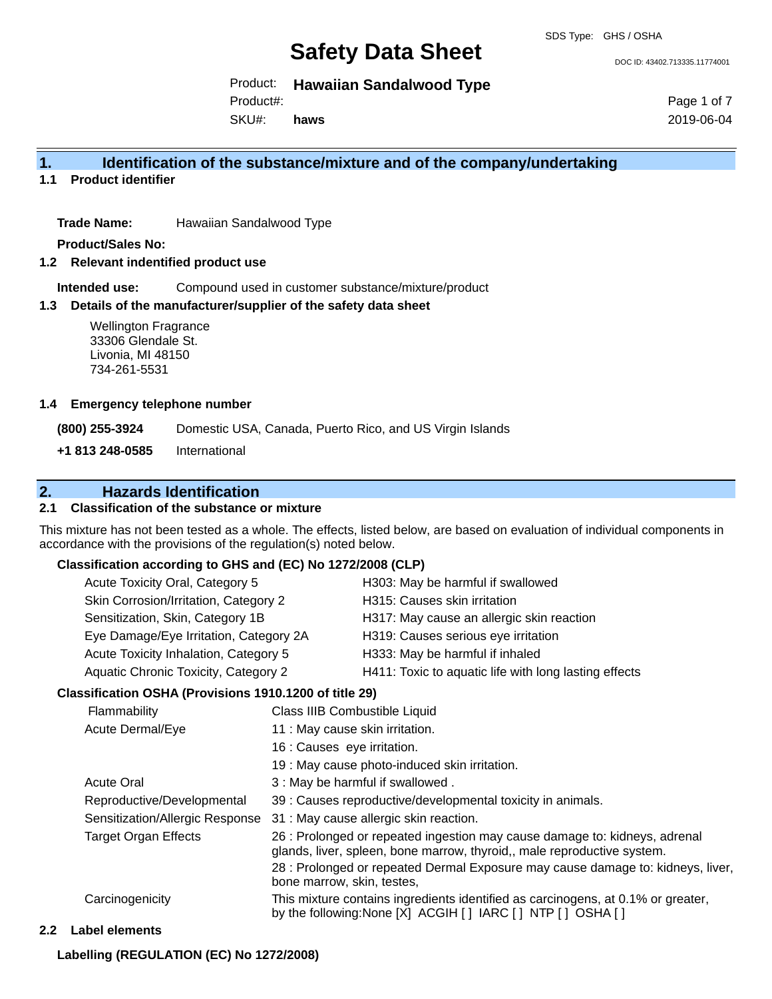DOC ID: 43402.713335.11774001

Product: **Hawaiian Sandalwood Type** 

Product#:

SKU#: **haws** Page 1 of 7 2019-06-04

## **1. Identification of the substance/mixture and of the company/undertaking**

**1.1 Product identifier**

**Trade Name:** Hawaiian Sandalwood Type

**Product/Sales No:**

**1.2 Relevant indentified product use**

**Intended use:** Compound used in customer substance/mixture/product

#### **1.3 Details of the manufacturer/supplier of the safety data sheet**

#### **1.4 Emergency telephone number**

## **2. Hazards Identification**

#### **2.1 Classification of the substance or mixture**

#### **Classification according to GHS and (EC) No 1272/2008 (CLP)**

| Acute Toxicity Oral, Category 5             | H303: May be harmful if swallowed                     |
|---------------------------------------------|-------------------------------------------------------|
| Skin Corrosion/Irritation, Category 2       | H315: Causes skin irritation                          |
| Sensitization, Skin, Category 1B            | H317: May cause an allergic skin reaction             |
| Eye Damage/Eye Irritation, Category 2A      | H319: Causes serious eye irritation                   |
| Acute Toxicity Inhalation, Category 5       | H333: May be harmful if inhaled                       |
| <b>Aquatic Chronic Toxicity, Category 2</b> | H411: Toxic to aquatic life with long lasting effects |
|                                             |                                                       |

#### **Classification OSHA (Provisions 1910.1200 of title 29)**

| <b>Wellington Fragrance</b><br>33306 Glendale St.<br>Livonia, MI 48150<br>734-261-5531        |                                                                      |                                                                                                                                                       |                                                                                                                                                    |
|-----------------------------------------------------------------------------------------------|----------------------------------------------------------------------|-------------------------------------------------------------------------------------------------------------------------------------------------------|----------------------------------------------------------------------------------------------------------------------------------------------------|
| <b>Emergency telephone number</b>                                                             |                                                                      |                                                                                                                                                       |                                                                                                                                                    |
| (800) 255-3924                                                                                |                                                                      |                                                                                                                                                       | Domestic USA, Canada, Puerto Rico, and US Virgin Islands                                                                                           |
| +1 813 248-0585                                                                               | International                                                        |                                                                                                                                                       |                                                                                                                                                    |
|                                                                                               | <b>Hazards Identification</b>                                        |                                                                                                                                                       |                                                                                                                                                    |
| <b>Classification of the substance or mixture</b>                                             |                                                                      |                                                                                                                                                       |                                                                                                                                                    |
| cordance with the provisions of the regulation(s) noted below.                                |                                                                      |                                                                                                                                                       | s mixture has not been tested as a whole. The effects, listed below, are based on evaluation of individual components in                           |
| Classification according to GHS and (EC) No 1272/2008 (CLP)                                   |                                                                      |                                                                                                                                                       |                                                                                                                                                    |
|                                                                                               | Acute Toxicity Oral, Category 5<br>H303: May be harmful if swallowed |                                                                                                                                                       |                                                                                                                                                    |
| Skin Corrosion/Irritation, Category 2                                                         |                                                                      |                                                                                                                                                       | H315: Causes skin irritation                                                                                                                       |
| Sensitization, Skin, Category 1B<br>H317: May cause an allergic skin reaction                 |                                                                      |                                                                                                                                                       |                                                                                                                                                    |
| H319: Causes serious eye irritation<br>Eye Damage/Eye Irritation, Category 2A                 |                                                                      |                                                                                                                                                       |                                                                                                                                                    |
| Acute Toxicity Inhalation, Category 5<br>H333: May be harmful if inhaled                      |                                                                      |                                                                                                                                                       |                                                                                                                                                    |
| Aquatic Chronic Toxicity, Category 2<br>H411: Toxic to aquatic life with long lasting effects |                                                                      |                                                                                                                                                       |                                                                                                                                                    |
| Classification OSHA (Provisions 1910.1200 of title 29)                                        |                                                                      |                                                                                                                                                       |                                                                                                                                                    |
| Flammability                                                                                  |                                                                      | Class IIIB Combustible Liquid                                                                                                                         |                                                                                                                                                    |
| Acute Dermal/Eye                                                                              |                                                                      | 11 : May cause skin irritation.                                                                                                                       |                                                                                                                                                    |
|                                                                                               |                                                                      | 16 : Causes eye irritation.                                                                                                                           |                                                                                                                                                    |
|                                                                                               |                                                                      |                                                                                                                                                       | 19 : May cause photo-induced skin irritation.                                                                                                      |
| <b>Acute Oral</b>                                                                             |                                                                      | 3 : May be harmful if swallowed.                                                                                                                      |                                                                                                                                                    |
| Reproductive/Developmental                                                                    |                                                                      | 39 : Causes reproductive/developmental toxicity in animals.                                                                                           |                                                                                                                                                    |
| Sensitization/Allergic Response                                                               |                                                                      | 31 : May cause allergic skin reaction.                                                                                                                |                                                                                                                                                    |
| <b>Target Organ Effects</b>                                                                   |                                                                      | 26 : Prolonged or repeated ingestion may cause damage to: kidneys, adrenal<br>glands, liver, spleen, bone marrow, thyroid,, male reproductive system. |                                                                                                                                                    |
|                                                                                               |                                                                      | bone marrow, skin, testes,                                                                                                                            | 28 : Prolonged or repeated Dermal Exposure may cause damage to: kidneys, liver,                                                                    |
| Carcinogenicity                                                                               |                                                                      |                                                                                                                                                       | This mixture contains ingredients identified as carcinogens, at 0.1% or greater,<br>by the following: None [X] ACGIH [ ] IARC [ ] NTP [ ] OSHA [ ] |
| <b>Label elements</b>                                                                         |                                                                      |                                                                                                                                                       |                                                                                                                                                    |
| Labelling (REGULATION (EC) No 1272/2008)                                                      |                                                                      |                                                                                                                                                       |                                                                                                                                                    |

#### **2.2 Label elements**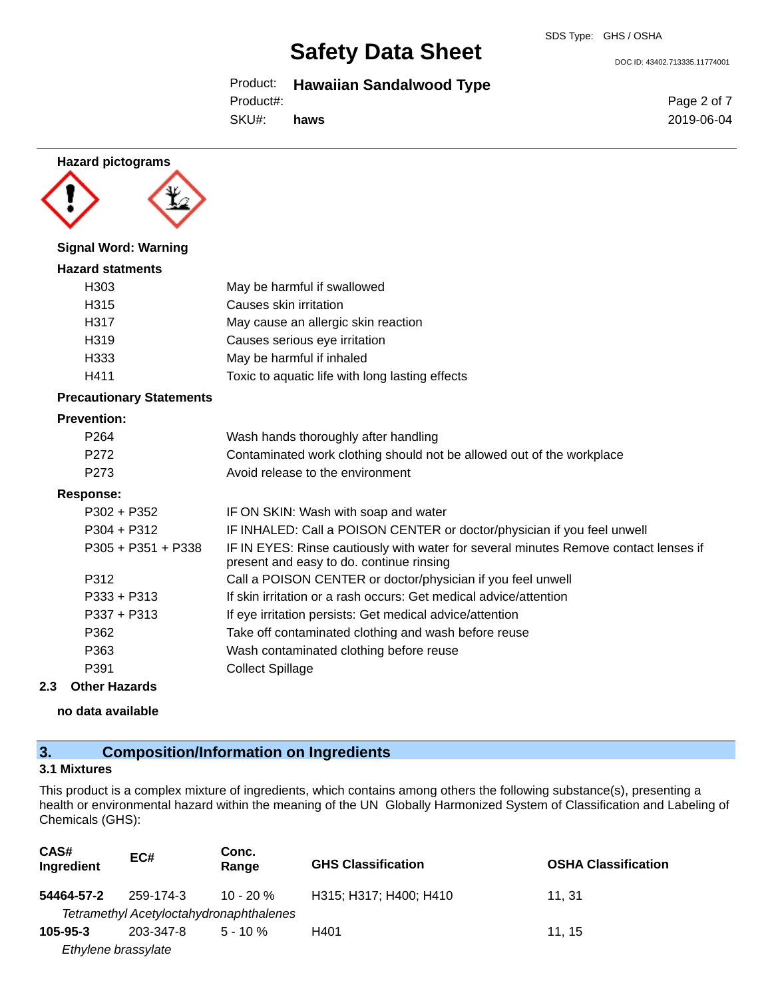Product: **Hawaiian Sandalwood Type** 

Product#:

SKU#: **haws**



#### **2.3 Other Hazards**

**no data available**

## **3. Composition/Information on Ingredients**

## **3.1 Mixtures**

This product is a complex mixture of ingredients, which contains among others the following substance(s), presenting a health or environmental hazard within the meaning of the UN Globally Harmonized System of Classification and Labeling of Chemicals (GHS):

| CAS#<br>Ingredient  | EC#       | Conc.<br>Range                          | <b>GHS Classification</b> | <b>OSHA Classification</b> |
|---------------------|-----------|-----------------------------------------|---------------------------|----------------------------|
| 54464-57-2          | 259-174-3 | 10 - 20 %                               | H315; H317; H400; H410    | 11.31                      |
|                     |           | Tetramethyl Acetyloctahydronaphthalenes |                           |                            |
| $105 - 95 - 3$      | 203-347-8 | $5 - 10 \%$                             | H401                      | 11.15                      |
| Ethylene brassylate |           |                                         |                           |                            |

DOC ID: 43402.713335.11774001

Page 2 of 7 2019-06-04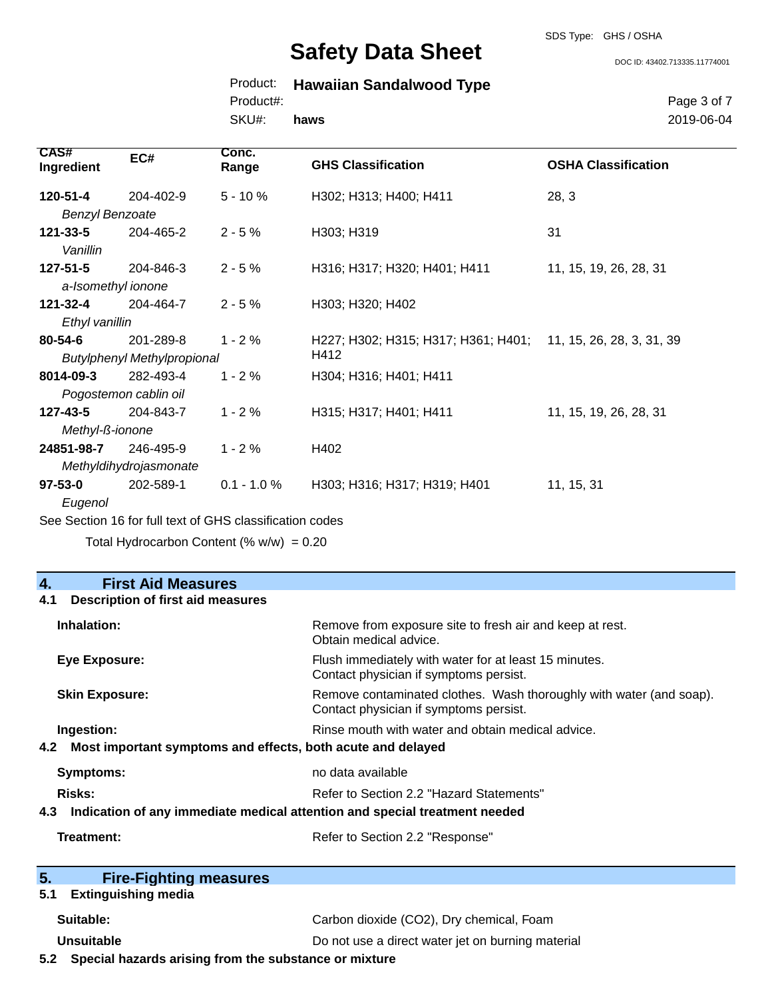#### SDS Type: GHS / OSHA

# **Safety Data Sheet**

DOC ID: 43402.713335.11774001

|            | Product: Hawaiian Sandalwood Type |
|------------|-----------------------------------|
| Product#:  |                                   |
| SKU#: haws |                                   |

Page 3 of 7 2019-06-04

| CAS#<br>Ingredient         | EC#                                | Conc.<br>Range | <b>GHS Classification</b>                                     | <b>OSHA Classification</b> |
|----------------------------|------------------------------------|----------------|---------------------------------------------------------------|----------------------------|
| 120-51-4                   | 204-402-9                          | $5 - 10%$      | H302; H313; H400; H411                                        | 28, 3                      |
| <b>Benzyl Benzoate</b>     |                                    |                |                                                               |                            |
| $121 - 33 - 5$<br>Vanillin | 204-465-2                          | $2 - 5%$       | H303; H319                                                    | 31                         |
| $127 - 51 - 5$             | 204-846-3                          | $2 - 5%$       | H316; H317; H320; H401; H411                                  | 11, 15, 19, 26, 28, 31     |
| a-Isomethyl ionone         |                                    |                |                                                               |                            |
| 121-32-4                   | 204-464-7                          | $2 - 5%$       | H303; H320; H402                                              |                            |
| Ethyl vanillin             |                                    |                |                                                               |                            |
| $80 - 54 - 6$              | 201-289-8                          | $1 - 2%$       | H227; H302; H315; H317; H361; H401; 11, 15, 26, 28, 3, 31, 39 |                            |
|                            | <b>Butylphenyl Methylpropional</b> |                | H412                                                          |                            |
| 8014-09-3                  | 282-493-4                          | $1 - 2%$       | H304; H316; H401; H411                                        |                            |
|                            | Pogostemon cablin oil              |                |                                                               |                            |
| $127 - 43 - 5$             | 204-843-7                          | $1 - 2%$       | H315; H317; H401; H411                                        | 11, 15, 19, 26, 28, 31     |
| Methyl-ß-ionone            |                                    |                |                                                               |                            |
| 24851-98-7                 | 246-495-9                          | $1 - 2%$       | H402                                                          |                            |
|                            | Methyldihydrojasmonate             |                |                                                               |                            |
| $97 - 53 - 0$              | 202-589-1                          | $0.1 - 1.0 \%$ | H303; H316; H317; H319; H401                                  | 11, 15, 31                 |
| Eugenol                    |                                    |                |                                                               |                            |

See Section 16 for full text of GHS classification codes

Total Hydrocarbon Content (%  $w/w$ ) = 0.20

## **4. First Aid Measures**

## **4.1 Description of first aid measures**

| Inhalation:                                                                              | Remove from exposure site to fresh air and keep at rest.<br>Obtain medical advice.                            |  |
|------------------------------------------------------------------------------------------|---------------------------------------------------------------------------------------------------------------|--|
| Eye Exposure:                                                                            | Flush immediately with water for at least 15 minutes.<br>Contact physician if symptoms persist.               |  |
| <b>Skin Exposure:</b>                                                                    | Remove contaminated clothes. Wash thoroughly with water (and soap).<br>Contact physician if symptoms persist. |  |
| Ingestion:<br>Most important symptoms and effects, both acute and delayed<br>4.2         | Rinse mouth with water and obtain medical advice.                                                             |  |
| <b>Symptoms:</b>                                                                         | no data available                                                                                             |  |
| Risks:<br>4.3 Indication of any immediate medical attention and special treatment needed | Refer to Section 2.2 "Hazard Statements"                                                                      |  |
| Treatment:                                                                               | Refer to Section 2.2 "Response"                                                                               |  |
|                                                                                          |                                                                                                               |  |

| 5.<br><b>Fire-Fighting measures</b>                                    |                                          |  |
|------------------------------------------------------------------------|------------------------------------------|--|
| <b>Extinguishing media</b><br>5.1                                      |                                          |  |
| Suitable:                                                              | Carbon dioxide (CO2), Dry chemical, Foam |  |
| Do not use a direct water jet on burning material<br><b>Unsuitable</b> |                                          |  |
| Special hazards arising from the substance or mixture<br>5.2           |                                          |  |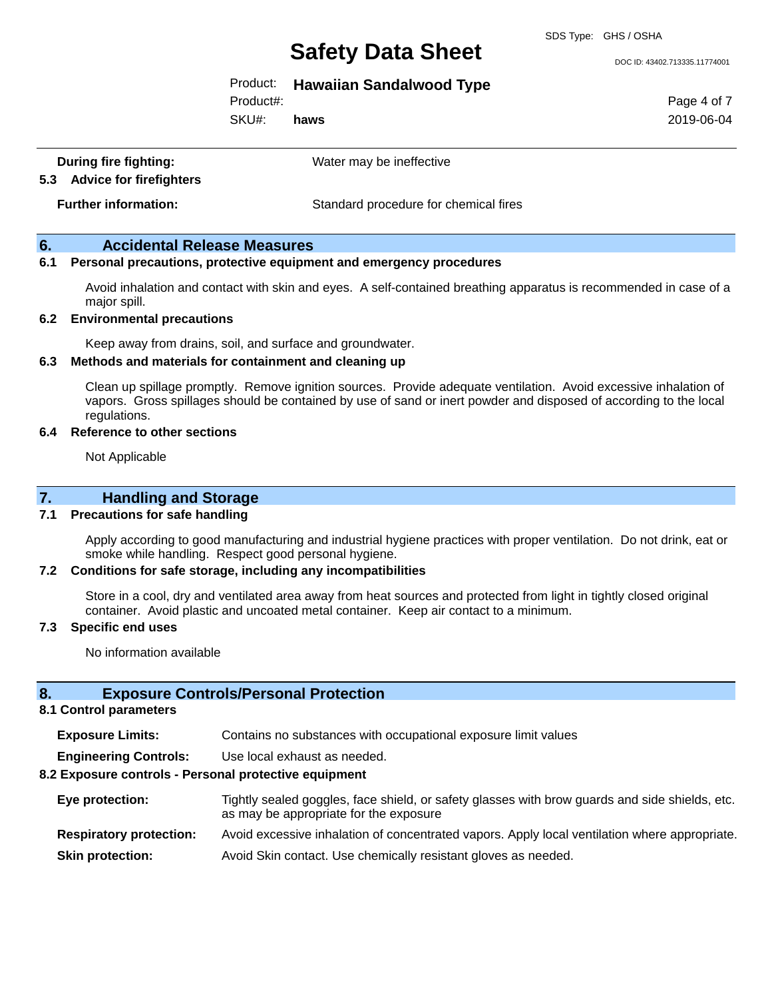SDS Type: GHS / OSHA

DOC ID: 43402.713335.11774001

#### Product: **Hawaiian Sandalwood Type**

SKU#: Product#: **haws** Page 4 of 7 2019-06-04

| During fire fighting: |                                | Water may be ineffective |
|-----------------------|--------------------------------|--------------------------|
| 5.3                   | <b>Advice for firefighters</b> |                          |

**Further information:** Standard procedure for chemical fires

## **6. Accidental Release Measures**

#### **6.1 Personal precautions, protective equipment and emergency procedures**

Avoid inhalation and contact with skin and eyes. A self-contained breathing apparatus is recommended in case of a major spill.

#### **6.2 Environmental precautions**

Keep away from drains, soil, and surface and groundwater.

#### **6.3 Methods and materials for containment and cleaning up**

Clean up spillage promptly. Remove ignition sources. Provide adequate ventilation. Avoid excessive inhalation of vapors. Gross spillages should be contained by use of sand or inert powder and disposed of according to the local regulations.

#### **6.4 Reference to other sections**

Not Applicable

## **7. Handling and Storage**

#### **7.1 Precautions for safe handling**

Apply according to good manufacturing and industrial hygiene practices with proper ventilation. Do not drink, eat or smoke while handling. Respect good personal hygiene.

#### **7.2 Conditions for safe storage, including any incompatibilities**

Store in a cool, dry and ventilated area away from heat sources and protected from light in tightly closed original container. Avoid plastic and uncoated metal container. Keep air contact to a minimum.

#### **7.3 Specific end uses**

No information available

## **8. Exposure Controls/Personal Protection**

#### **8.1 Control parameters**

**Exposure Limits:** Contains no substances with occupational exposure limit values

**Engineering Controls:** Use local exhaust as needed.

#### **8.2 Exposure controls - Personal protective equipment**

- **Eye protection:** Tightly sealed goggles, face shield, or safety glasses with brow guards and side shields, etc. as may be appropriate for the exposure
- **Respiratory protection:** Avoid excessive inhalation of concentrated vapors. Apply local ventilation where appropriate. **Skin protection:** Avoid Skin contact. Use chemically resistant gloves as needed.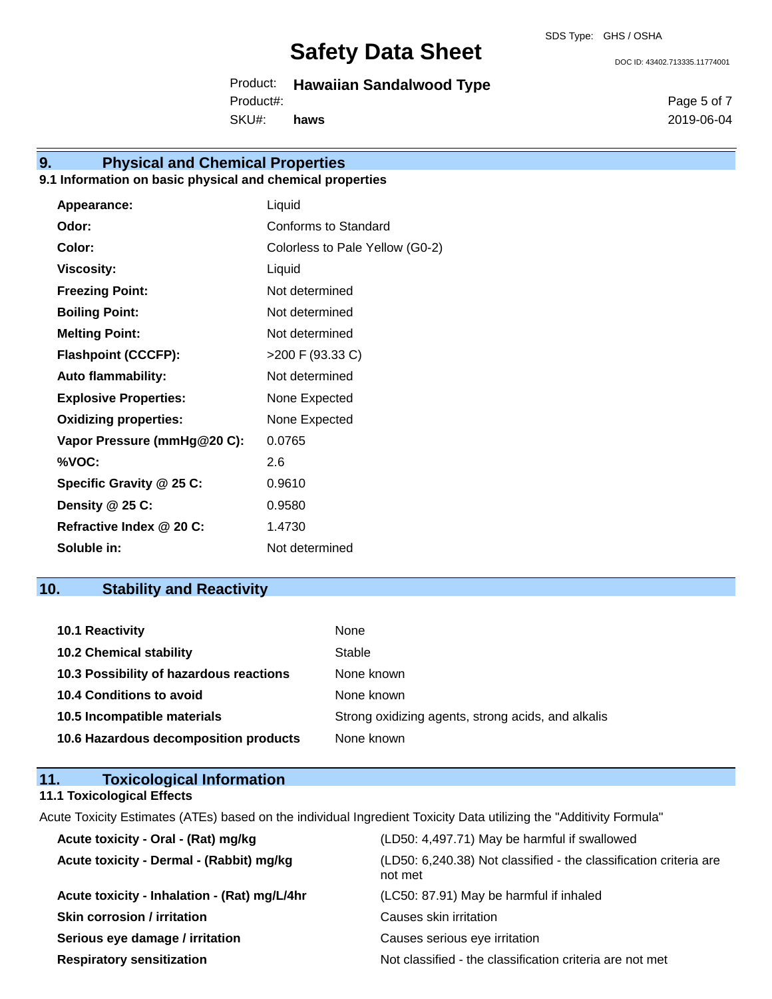DOC ID: 43402.713335.11774001

Product: **Hawaiian Sandalwood Type**  SKU#: Product#: **haws**

## **9. Physical and Chemical Properties**

## **9.1 Information on basic physical and chemical properties**

| Appearance:                  | Liquid                          |
|------------------------------|---------------------------------|
| Odor:                        | Conforms to Standard            |
| Color:                       | Colorless to Pale Yellow (G0-2) |
| <b>Viscosity:</b>            | Liquid                          |
| <b>Freezing Point:</b>       | Not determined                  |
| <b>Boiling Point:</b>        | Not determined                  |
| <b>Melting Point:</b>        | Not determined                  |
| <b>Flashpoint (CCCFP):</b>   | >200 F (93.33 C)                |
| <b>Auto flammability:</b>    | Not determined                  |
| <b>Explosive Properties:</b> | None Expected                   |
| <b>Oxidizing properties:</b> | None Expected                   |
| Vapor Pressure (mmHg@20 C):  | 0.0765                          |
| %VOC:                        | 2.6                             |
| Specific Gravity @ 25 C:     | 0.9610                          |
| Density @ 25 C:              | 0.9580                          |
| Refractive Index @ 20 C:     | 1.4730                          |
| Soluble in:                  | Not determined                  |

## **10. Stability and Reactivity**

| <b>10.1 Reactivity</b>                  | None                                               |
|-----------------------------------------|----------------------------------------------------|
| <b>10.2 Chemical stability</b>          | Stable                                             |
| 10.3 Possibility of hazardous reactions | None known                                         |
| <b>10.4 Conditions to avoid</b>         | None known                                         |
| 10.5 Incompatible materials             | Strong oxidizing agents, strong acids, and alkalis |
| 10.6 Hazardous decomposition products   | None known                                         |

| 11.<br><b>Toxicological Information</b>                                                                             |                                                                                                                                                                                                                                   |  |
|---------------------------------------------------------------------------------------------------------------------|-----------------------------------------------------------------------------------------------------------------------------------------------------------------------------------------------------------------------------------|--|
| 11.1 Toxicological Effects                                                                                          |                                                                                                                                                                                                                                   |  |
| Acute Toxicity Estimates (ATEs) based on the individual Ingredient Toxicity Data utilizing the "Additivity Formula" |                                                                                                                                                                                                                                   |  |
| Acute toxicity - Oral - (Rat) mg/kg<br>(LD50: 4,497.71) May be harmful if swallowed                                 |                                                                                                                                                                                                                                   |  |
|                                                                                                                     | $\alpha$ . The contract of the contract of the contract of the contract of the contract of the contract of the contract of the contract of the contract of the contract of the contract of the contract of the contract of the co |  |

| Acute toxicity - Dermal - (Rabbit) mg/kg     | (LD50: 6,240.38) Not classified - the classification criteria are<br>not met |
|----------------------------------------------|------------------------------------------------------------------------------|
| Acute toxicity - Inhalation - (Rat) mg/L/4hr | (LC50: 87.91) May be harmful if inhaled                                      |
| <b>Skin corrosion / irritation</b>           | Causes skin irritation                                                       |
| Serious eye damage / irritation              | Causes serious eye irritation                                                |
| <b>Respiratory sensitization</b>             | Not classified - the classification criteria are not met                     |

Page 5 of 7

2019-06-04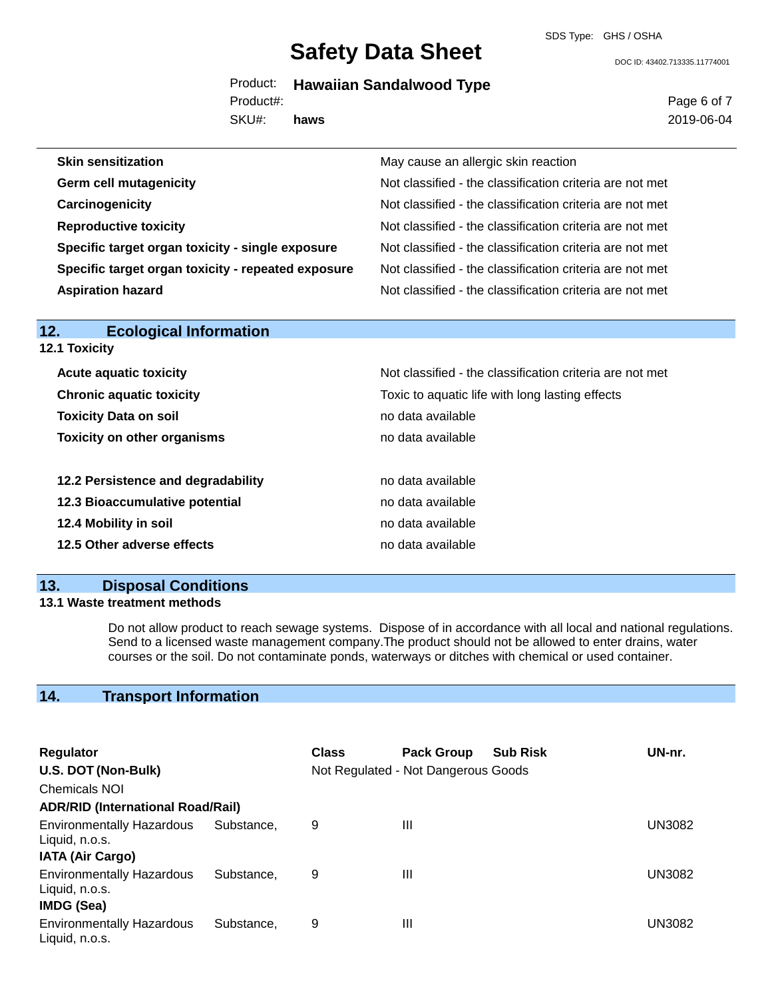SDS Type: GHS / OSHA

DOC ID: 43402.713335.11774001

|           | Product: Hawaiian Sandalwood Type |  |
|-----------|-----------------------------------|--|
| Product#: |                                   |  |

SKU#: **haws** Page 6 of 7 2019-06-04

| <b>Skin sensitization</b>                          | May cause an allergic skin reaction                      |
|----------------------------------------------------|----------------------------------------------------------|
| <b>Germ cell mutagenicity</b>                      | Not classified - the classification criteria are not met |
| Carcinogenicity                                    | Not classified - the classification criteria are not met |
| <b>Reproductive toxicity</b>                       | Not classified - the classification criteria are not met |
| Specific target organ toxicity - single exposure   | Not classified - the classification criteria are not met |
| Specific target organ toxicity - repeated exposure | Not classified - the classification criteria are not met |
| <b>Aspiration hazard</b>                           | Not classified - the classification criteria are not met |

| <b>Ecological Information</b><br>12. |                                                          |
|--------------------------------------|----------------------------------------------------------|
| <b>12.1 Toxicity</b>                 |                                                          |
| <b>Acute aquatic toxicity</b>        | Not classified - the classification criteria are not met |
| <b>Chronic aquatic toxicity</b>      | Toxic to aquatic life with long lasting effects          |
| <b>Toxicity Data on soil</b>         | no data available                                        |
| <b>Toxicity on other organisms</b>   | no data available                                        |
| 12.2 Persistence and degradability   | no data available                                        |
| 12.3 Bioaccumulative potential       | no data available                                        |
| 12.4 Mobility in soil                | no data available                                        |
| 12.5 Other adverse effects           | no data available                                        |

## **13. Disposal Conditions**

#### **13.1 Waste treatment methods**

Do not allow product to reach sewage systems. Dispose of in accordance with all local and national regulations. Send to a licensed waste management company.The product should not be allowed to enter drains, water courses or the soil. Do not contaminate ponds, waterways or ditches with chemical or used container.

## **14. Transport Information**

| <b>Regulator</b>                                                        |            | <b>Class</b> | <b>Pack Group</b>                   | <b>Sub Risk</b> | UN-nr.        |
|-------------------------------------------------------------------------|------------|--------------|-------------------------------------|-----------------|---------------|
| U.S. DOT (Non-Bulk)                                                     |            |              | Not Regulated - Not Dangerous Goods |                 |               |
| <b>Chemicals NOI</b>                                                    |            |              |                                     |                 |               |
| <b>ADR/RID (International Road/Rail)</b>                                |            |              |                                     |                 |               |
| <b>Environmentally Hazardous</b><br>Liquid, n.o.s.                      | Substance. | 9            | $\mathbf{III}$                      |                 | <b>UN3082</b> |
| <b>IATA (Air Cargo)</b>                                                 |            |              |                                     |                 |               |
| <b>Environmentally Hazardous</b><br>Liquid, n.o.s.<br><b>IMDG (Sea)</b> | Substance. | 9            | Ш                                   |                 | UN3082        |
| <b>Environmentally Hazardous</b><br>Liquid, n.o.s.                      | Substance. | 9            | $\mathbf{III}$                      |                 | <b>UN3082</b> |